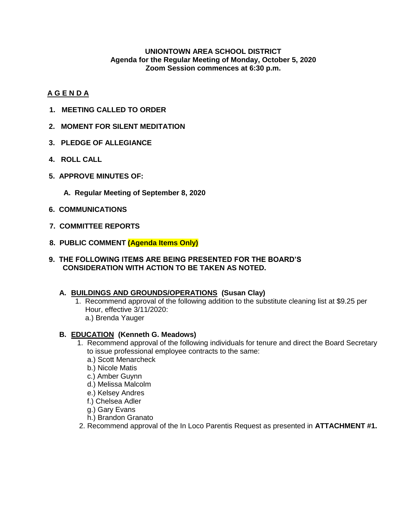#### **UNIONTOWN AREA SCHOOL DISTRICT Agenda for the Regular Meeting of Monday, October 5, 2020 Zoom Session commences at 6:30 p.m.**

### **A G E N D A**

- **1. MEETING CALLED TO ORDER**
- **2. MOMENT FOR SILENT MEDITATION**
- **3. PLEDGE OF ALLEGIANCE**
- **4. ROLL CALL**
- **5. APPROVE MINUTES OF:**
	- **A. Regular Meeting of September 8, 2020**
- **6. COMMUNICATIONS**
- **7. COMMITTEE REPORTS**
- **8. PUBLIC COMMENT (Agenda Items Only)**
- **9. THE FOLLOWING ITEMS ARE BEING PRESENTED FOR THE BOARD'S CONSIDERATION WITH ACTION TO BE TAKEN AS NOTED.**
	- **A. BUILDINGS AND GROUNDS/OPERATIONS (Susan Clay)**
		- 1. Recommend approval of the following addition to the substitute cleaning list at \$9.25 per Hour, effective 3/11/2020: a.) Brenda Yauger

### **B. EDUCATION (Kenneth G. Meadows)**

- 1. Recommend approval of the following individuals for tenure and direct the Board Secretary to issue professional employee contracts to the same:
	- a.) Scott Menarcheck
	- b.) Nicole Matis
	- c.) Amber Guynn
	- d.) Melissa Malcolm
	- e.) Kelsey Andres
	- f.) Chelsea Adler
	- g.) Gary Evans
	- h.) Brandon Granato
- 2. Recommend approval of the In Loco Parentis Request as presented in **ATTACHMENT #1.**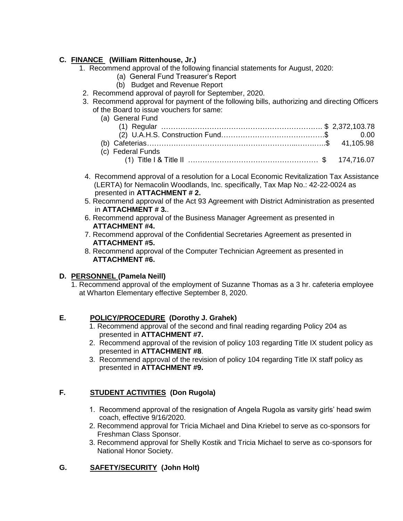### **C. FINANCE (William Rittenhouse, Jr.)**

- 1. Recommend approval of the following financial statements for August, 2020:
	- (a) General Fund Treasurer's Report
	- (b) Budget and Revenue Report
- 2. Recommend approval of payroll for September, 2020.
- 3. Recommend approval for payment of the following bills, authorizing and directing Officers of the Board to issue vouchers for same:

| (a) General Fund  |  |
|-------------------|--|
|                   |  |
|                   |  |
|                   |  |
| (c) Federal Funds |  |
|                   |  |

- 4. Recommend approval of a resolution for a Local Economic Revitalization Tax Assistance (LERTA) for Nemacolin Woodlands, Inc. specifically, Tax Map No.: 42-22-0024 as presented in **ATTACHMENT # 2.**
- 5. Recommend approval of the Act 93 Agreement with District Administration as presented in **ATTACHMENT # 3.**.
- 6. Recommend approval of the Business Manager Agreement as presented in  **ATTACHMENT #4.**
- 7. Recommend approval of the Confidential Secretaries Agreement as presented in **ATTACHMENT #5.**
- 8. Recommend approval of the Computer Technician Agreement as presented in **ATTACHMENT #6.**

# **D. PERSONNEL (Pamela Neill)**

1. Recommend approval of the employment of Suzanne Thomas as a 3 hr. cafeteria employee at Wharton Elementary effective September 8, 2020.

# **E. POLICY/PROCEDURE (Dorothy J. Grahek)**

- 1. Recommend approval of the second and final reading regarding Policy 204 as presented in **ATTACHMENT #7.**
- 2. Recommend approval of the revision of policy 103 regarding Title IX student policy as presented in **ATTACHMENT #8**.
- 3. Recommend approval of the revision of policy 104 regarding Title IX staff policy as presented in **ATTACHMENT #9.**

# **F. STUDENT ACTIVITIES (Don Rugola)**

- 1. Recommend approval of the resignation of Angela Rugola as varsity girls' head swim coach, effective 9/16/2020.
- 2. Recommend approval for Tricia Michael and Dina Kriebel to serve as co-sponsors for Freshman Class Sponsor.
- 3. Recommend approval for Shelly Kostik and Tricia Michael to serve as co-sponsors for National Honor Society.

# **G. SAFETY/SECURITY (John Holt)**